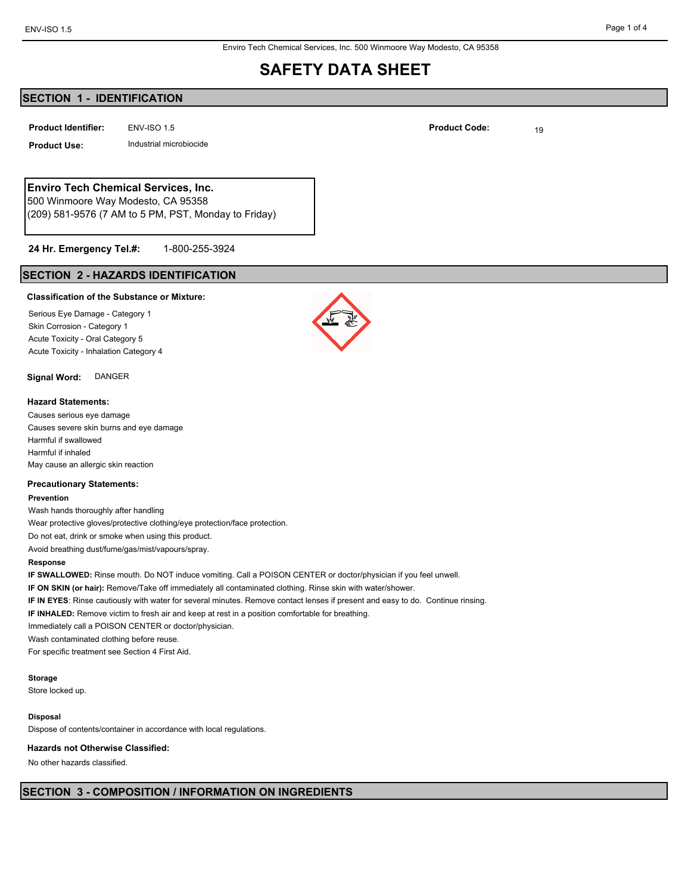Enviro Tech Chemical Services, Inc. 500 Winmoore Way Modesto, CA 95358

## **SAFETY DATA SHEET**

## **SECTION 1 - IDENTIFICATION**

**ENV-ISO 1.5 Product Identifier: Product Identifier: Product Code:** 19

**Product Use:** Industrial microbiocide

## **Enviro Tech Chemical Services, Inc.**

500 Winmoore Way Modesto, CA 95358 (209) 581-9576 (7 AM to 5 PM, PST, Monday to Friday)

#### 1-800-255-3924 **24 Hr. Emergency Tel.#:**

## **SECTION 2 - HAZARDS IDENTIFICATION**

#### **Classification of the Substance or Mixture:**

Serious Eye Damage - Category 1 Skin Corrosion - Category 1 Acute Toxicity - Oral Category 5 Acute Toxicity - Inhalation Category 4

### **Signal Word:** DANGER

#### **Hazard Statements:**

Causes serious eye damage Causes severe skin burns and eye damage Harmful if swallowed Harmful if inhaled May cause an allergic skin reaction

#### **Precautionary Statements:**

#### **Prevention**

Wash hands thoroughly after handling

Wear protective gloves/protective clothing/eye protection/face protection.

Do not eat, drink or smoke when using this product.

Avoid breathing dust/fume/gas/mist/vapours/spray.

#### **Response**

**IF SWALLOWED:** Rinse mouth. Do NOT induce vomiting. Call a POISON CENTER or doctor/physician if you feel unwell.

**IF ON SKIN (or hair):** Remove/Take off immediately all contaminated clothing. Rinse skin with water/shower.

**IF IN EYES**: Rinse cautiously with water for several minutes. Remove contact lenses if present and easy to do. Continue rinsing.

**IF INHALED:** Remove victim to fresh air and keep at rest in a position comfortable for breathing.

Immediately call a POISON CENTER or doctor/physician.

Wash contaminated clothing before reuse.

For specific treatment see Section 4 First Aid.

#### **Storage**

Store locked up.

#### **Disposal**

Dispose of contents/container in accordance with local regulations.

#### **Hazards not Otherwise Classified:**

No other hazards classified.



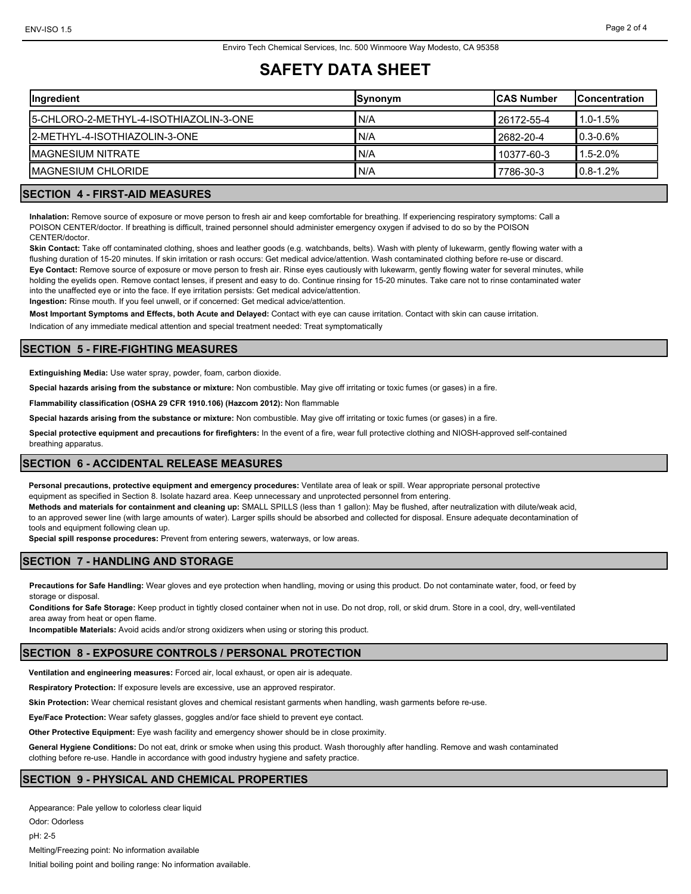## **SAFETY DATA SHEET**

| Synonym |              | <b>Concentration</b> |
|---------|--------------|----------------------|
| N/A     | l 26172-55-4 | $1.0 - 1.5%$         |
| 'N/A    | 12682-20-4   | $0.3 - 0.6\%$        |
| N/A     | 10377-60-3   | $1.5 - 2.0%$         |
| N/A     | 7786-30-3    | $0.8 - 1.2%$         |
|         |              | <b>ICAS Number</b>   |

### **SECTION 4 - FIRST-AID MEASURES**

**Inhalation:** Remove source of exposure or move person to fresh air and keep comfortable for breathing. If experiencing respiratory symptoms: Call a POISON CENTER/doctor. If breathing is difficult, trained personnel should administer emergency oxygen if advised to do so by the POISON CENTER/doctor.

**Skin Contact:** Take off contaminated clothing, shoes and leather goods (e.g. watchbands, belts). Wash with plenty of lukewarm, gently flowing water with a flushing duration of 15-20 minutes. If skin irritation or rash occurs: Get medical advice/attention. Wash contaminated clothing before re-use or discard. **Eye Contact:** Remove source of exposure or move person to fresh air. Rinse eyes cautiously with lukewarm, gently flowing water for several minutes, while holding the eyelids open. Remove contact lenses, if present and easy to do. Continue rinsing for 15-20 minutes. Take care not to rinse contaminated water into the unaffected eye or into the face. If eye irritation persists: Get medical advice/attention.

**Ingestion:** Rinse mouth. If you feel unwell, or if concerned: Get medical advice/attention.

**Most Important Symptoms and Effects, both Acute and Delayed:** Contact with eye can cause irritation. Contact with skin can cause irritation.

Indication of any immediate medical attention and special treatment needed: Treat symptomatically

## **SECTION 5 - FIRE-FIGHTING MEASURES**

**Extinguishing Media:** Use water spray, powder, foam, carbon dioxide.

**Special hazards arising from the substance or mixture:** Non combustible. May give off irritating or toxic fumes (or gases) in a fire.

**Flammability classification (OSHA 29 CFR 1910.106) (Hazcom 2012):** Non flammable

**Special hazards arising from the substance or mixture:** Non combustible. May give off irritating or toxic fumes (or gases) in a fire.

**Special protective equipment and precautions for firefighters:** In the event of a fire, wear full protective clothing and NIOSH-approved self-contained breathing apparatus.

## **SECTION 6 - ACCIDENTAL RELEASE MEASURES**

**Personal precautions, protective equipment and emergency procedures:** Ventilate area of leak or spill. Wear appropriate personal protective equipment as specified in Section 8. Isolate hazard area. Keep unnecessary and unprotected personnel from entering. **Methods and materials for containment and cleaning up:** SMALL SPILLS (less than 1 gallon): May be flushed, after neutralization with dilute/weak acid, to an approved sewer line (with large amounts of water). Larger spills should be absorbed and collected for disposal. Ensure adequate decontamination of tools and equipment following clean up.

**Special spill response procedures:** Prevent from entering sewers, waterways, or low areas.

## **SECTION 7 - HANDLING AND STORAGE**

**Precautions for Safe Handling:** Wear gloves and eye protection when handling, moving or using this product. Do not contaminate water, food, or feed by storage or disposal.

**Conditions for Safe Storage:** Keep product in tightly closed container when not in use. Do not drop, roll, or skid drum. Store in a cool, dry, well-ventilated area away from heat or open flame.

**Incompatible Materials:** Avoid acids and/or strong oxidizers when using or storing this product.

#### **SECTION 8 - EXPOSURE CONTROLS / PERSONAL PROTECTION**

**Ventilation and engineering measures:** Forced air, local exhaust, or open air is adequate.

**Respiratory Protection:** If exposure levels are excessive, use an approved respirator.

**Skin Protection:** Wear chemical resistant gloves and chemical resistant garments when handling, wash garments before re-use.

**Eye/Face Protection:** Wear safety glasses, goggles and/or face shield to prevent eye contact.

**Other Protective Equipment:** Eye wash facility and emergency shower should be in close proximity.

**General Hygiene Conditions:** Do not eat, drink or smoke when using this product. Wash thoroughly after handling. Remove and wash contaminated clothing before re-use. Handle in accordance with good industry hygiene and safety practice.

## **SECTION 9 - PHYSICAL AND CHEMICAL PROPERTIES**

Appearance: Pale yellow to colorless clear liquid Odor: Odorless pH: 2-5 Melting/Freezing point: No information available Initial boiling point and boiling range: No information available.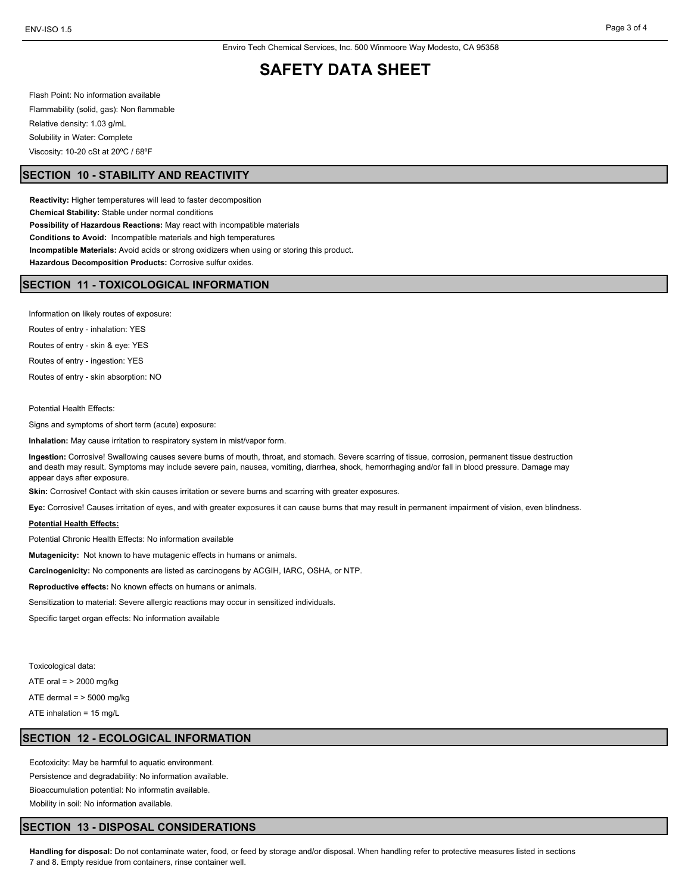## **SAFETY DATA SHEET**

Flash Point: No information available Flammability (solid, gas): Non flammable Relative density: 1.03 g/mL Solubility in Water: Complete Viscosity: 10-20 cSt at 20ºC / 68ºF

#### **SECTION 10 - STABILITY AND REACTIVITY**

**Reactivity:** Higher temperatures will lead to faster decomposition **Chemical Stability:** Stable under normal conditions **Possibility of Hazardous Reactions:** May react with incompatible materials **Conditions to Avoid:** Incompatible materials and high temperatures **Incompatible Materials:** Avoid acids or strong oxidizers when using or storing this product. **Hazardous Decomposition Products:** Corrosive sulfur oxides.

### **SECTION 11 - TOXICOLOGICAL INFORMATION**

Information on likely routes of exposure:

Routes of entry - inhalation: YES

Routes of entry - skin & eye: YES

Routes of entry - ingestion: YES

Routes of entry - skin absorption: NO

Potential Health Effects:

Signs and symptoms of short term (acute) exposure:

**Inhalation:** May cause irritation to respiratory system in mist/vapor form.

**Ingestion:** Corrosive! Swallowing causes severe burns of mouth, throat, and stomach. Severe scarring of tissue, corrosion, permanent tissue destruction and death may result. Symptoms may include severe pain, nausea, vomiting, diarrhea, shock, hemorrhaging and/or fall in blood pressure. Damage may appear days after exposure.

**Skin:** Corrosive! Contact with skin causes irritation or severe burns and scarring with greater exposures.

**Eye:** Corrosive! Causes irritation of eyes, and with greater exposures it can cause burns that may result in permanent impairment of vision, even blindness.

#### **Potential Health Effects:**

Potential Chronic Health Effects: No information available

**Mutagenicity:** Not known to have mutagenic effects in humans or animals.

**Carcinogenicity:** No components are listed as carcinogens by ACGIH, IARC, OSHA, or NTP.

**Reproductive effects:** No known effects on humans or animals.

Sensitization to material: Severe allergic reactions may occur in sensitized individuals.

Specific target organ effects: No information available

Toxicological data:

ATE oral = > 2000 mg/kg

ATE dermal  $=$  > 5000 mg/kg

ATE inhalation = 15 mg/L

#### **SECTION 12 - ECOLOGICAL INFORMATION**

Ecotoxicity: May be harmful to aquatic environment. Persistence and degradability: No information available.

Bioaccumulation potential: No informatin available.

Mobility in soil: No information available.

#### **SECTION 13 - DISPOSAL CONSIDERATIONS**

**Handling for disposal:** Do not contaminate water, food, or feed by storage and/or disposal. When handling refer to protective measures listed in sections 7 and 8. Empty residue from containers, rinse container well.